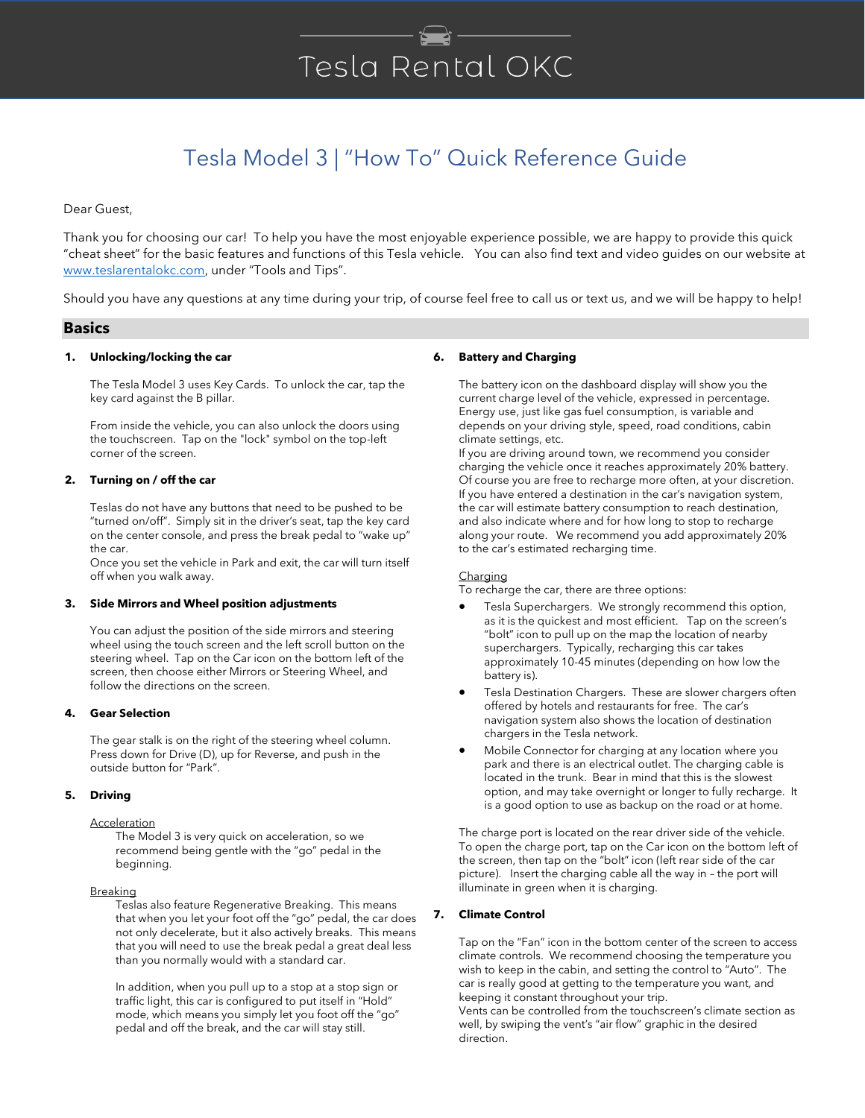# Tesla Rental OKC

# Tesla Model 3 | "How To" Quick Reference Guide

Dear Guest,

Thank you for choosing our car! To help you have the most enjoyable experience possible, we are happy to provide this quick "cheat sheet" for the basic features and functions of this Tesla vehicle. You can also find text and video guides on our website at [www.teslarentalokc.com](http://www.teslarentalokc.com/), under "Tools and Tips".

Should you have any questions at any time during your trip, of course feel free to call us or text us, and we will be happy to help!

# **Basics**

# **1. Unlocking/locking the car**

The Tesla Model 3 uses Key Cards. To unlock the car, tap the key card against the B pillar.

From inside the vehicle, you can also unlock the doors using the touchscreen. Tap on the "lock" symbol on the top-left corner of the screen.

# **2. Turning on / off the car**

Teslas do not have any buttons that need to be pushed to be "turned on/off". Simply sit in the driver's seat, tap the key card on the center console, and press the break pedal to "wake up" the car.

Once you set the vehicle in Park and exit, the car will turn itself off when you walk away.

# **3. Side Mirrors and Wheel position adjustments**

You can adjust the position of the side mirrors and steering wheel using the touch screen and the left scroll button on the steering wheel. Tap on the Car icon on the bottom left of the screen, then choose either Mirrors or Steering Wheel, and follow the directions on the screen.

# **4. Gear Selection**

The gear stalk is on the right of the steering wheel column. Press down for Drive (D), up for Reverse, and push in the outside button for "Park".

# **5. Driving**

# **Acceleration**

The Model 3 is very quick on acceleration, so we recommend being gentle with the "go" pedal in the beginning.

## **Breaking**

Teslas also feature Regenerative Breaking. This means that when you let your foot off the "go" pedal, the car does not only decelerate, but it also actively breaks. This means that you will need to use the break pedal a great deal less than you normally would with a standard car.

In addition, when you pull up to a stop at a stop sign or traffic light, this car is configured to put itself in "Hold" mode, which means you simply let you foot off the "go" pedal and off the break, and the car will stay still.

# **6. Battery and Charging**

The battery icon on the dashboard display will show you the current charge level of the vehicle, expressed in percentage. Energy use, just like gas fuel consumption, is variable and depends on your driving style, speed, road conditions, cabin climate settings, etc.

If you are driving around town, we recommend you consider charging the vehicle once it reaches approximately 20% battery. Of course you are free to recharge more often, at your discretion. If you have entered a destination in the car's navigation system, the car will estimate battery consumption to reach destination, and also indicate where and for how long to stop to recharge along your route. We recommend you add approximately 20% to the car's estimated recharging time.

#### **Charging**

To recharge the car, there are three options:

- Tesla Superchargers. We strongly recommend this option, as it is the quickest and most efficient. Tap on the screen's "bolt" icon to pull up on the map the location of nearby superchargers. Typically, recharging this car takes approximately 10-45 minutes (depending on how low the battery is).
- Tesla Destination Chargers. These are slower chargers often offered by hotels and restaurants for free. The car's navigation system also shows the location of destination chargers in the Tesla network.
- Mobile Connector for charging at any location where you park and there is an electrical outlet. The charging cable is located in the trunk. Bear in mind that this is the slowest option, and may take overnight or longer to fully recharge. It is a good option to use as backup on the road or at home.

The charge port is located on the rear driver side of the vehicle. To open the charge port, tap on the Car icon on the bottom left of the screen, then tap on the "bolt" icon (left rear side of the car picture). Insert the charging cable all the way in – the port will illuminate in green when it is charging.

# **7. Climate Control**

Tap on the "Fan" icon in the bottom center of the screen to access climate controls. We recommend choosing the temperature you wish to keep in the cabin, and setting the control to "Auto". The car is really good at getting to the temperature you want, and keeping it constant throughout your trip.

Vents can be controlled from the touchscreen's climate section as well, by swiping the vent's "air flow" graphic in the desired direction.